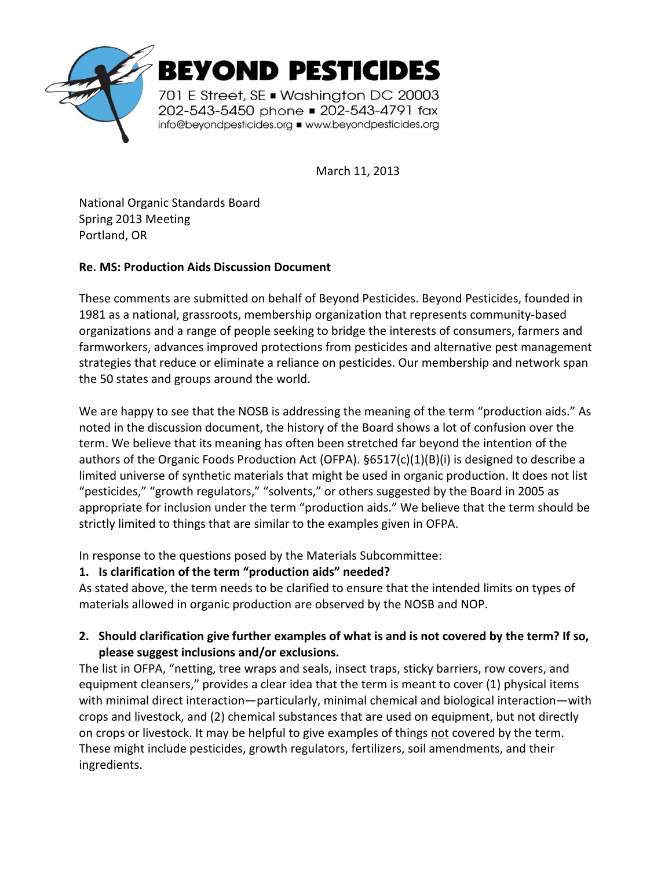

March 11, 2013

National Organic Standards Board Spring 2013 Meeting Portland, OR

### **Re. MS: Production Aids Discussion Document**

These comments are submitted on behalf of Beyond Pesticides. Beyond Pesticides, founded in 1981 as a national, grassroots, membership organization that represents community-based organizations and a range of people seeking to bridge the interests of consumers, farmers and farmworkers, advances improved protections from pesticides and alternative pest management strategies that reduce or eliminate a reliance on pesticides. Our membership and network span the 50 states and groups around the world.

We are happy to see that the NOSB is addressing the meaning of the term "production aids." As noted in the discussion document, the history of the Board shows a lot of confusion over the term. We believe that its meaning has often been stretched far beyond the intention of the authors of the Organic Foods Production Act (OFPA).  $§6517(c)(1)(B)(i)$  is designed to describe a limited universe of synthetic materials that might be used in organic production. It does not list "pesticides," "growth regulators," "solvents," or others suggested by the Board in 2005 as appropriate for inclusion under the term "production aids." We believe that the term should be strictly limited to things that are similar to the examples given in OFPA.

In response to the questions posed by the Materials Subcommittee:

# **1. Is clarification of the term "production aids" needed?**

As stated above, the term needs to be clarified to ensure that the intended limits on types of materials allowed in organic production are observed by the NOSB and NOP.

## **2. Should clarification give further examples of what is and is not covered by the term? If so, please suggest inclusions and/or exclusions.**

The list in OFPA, "netting, tree wraps and seals, insect traps, sticky barriers, row covers, and equipment cleansers," provides a clear idea that the term is meant to cover (1) physical items with minimal direct interaction—particularly, minimal chemical and biological interaction—with crops and livestock, and (2) chemical substances that are used on equipment, but not directly on crops or livestock. It may be helpful to give examples of things not covered by the term. These might include pesticides, growth regulators, fertilizers, soil amendments, and their ingredients.